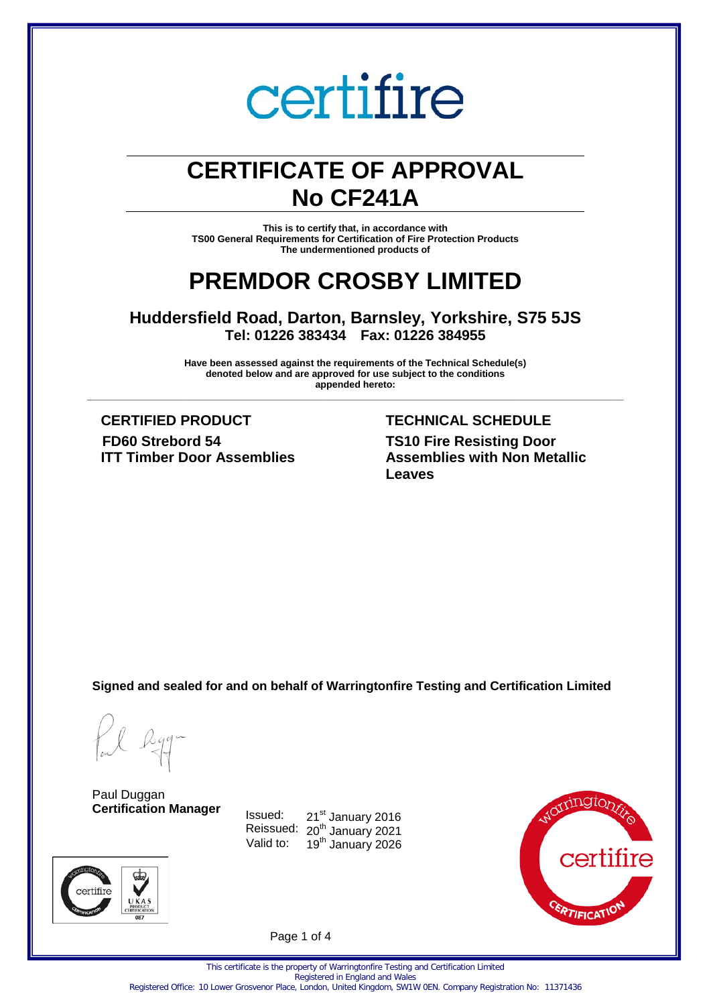# **CERTIFICATE OF APPROVAL No CF241A**

**This is to certify that, in accordance with TS00 General Requirements for Certification of Fire Protection Products The undermentioned products of** 

# **PREMDOR CROSBY LIMITED**

**Huddersfield Road, Darton, Barnsley, Yorkshire, S75 5JS Tel: 01226 383434 Fax: 01226 384955**

**Have been assessed against the requirements of the Technical Schedule(s) denoted below and are approved for use subject to the conditions appended hereto: \_\_\_\_\_\_\_\_\_\_\_\_\_\_\_\_\_\_\_\_\_\_\_\_\_\_\_\_\_\_\_\_\_\_\_\_\_\_\_\_\_\_\_\_\_\_\_\_\_\_\_\_\_\_\_\_\_\_\_\_\_\_\_\_\_\_\_\_\_\_\_\_\_\_\_\_\_\_\_\_\_\_\_\_\_\_\_\_\_\_\_\_\_\_\_\_\_\_\_\_\_**

**CERTIFIED PRODUCT TECHNICAL SCHEDULE FD60 Strebord 54 ITT Timber Door Assemblies**

# **TS10 Fire Resisting Door Assemblies with Non Metallic Leaves**

**Signed and sealed for and on behalf of Warringtonfire Testing and Certification Limited**

certifire

Paul Duggan **Certification Manager**





Page 1 of 4

This certificate is the property of Warringtonfire Testing and Certification Limited Registered in England and Wales Registered Office: 10 Lower Grosvenor Place, London, United Kingdom, SW1W 0EN. Company Registration No: 11371436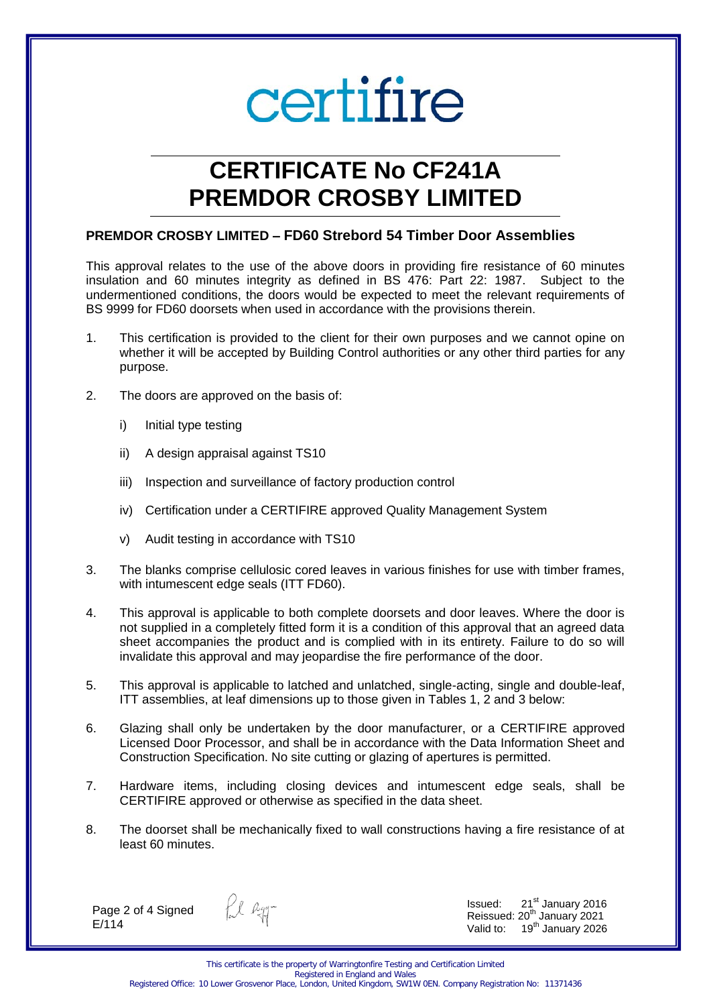# **CERTIFICATE No CF241A PREMDOR CROSBY LIMITED**

### **PREMDOR CROSBY LIMITED – FD60 Strebord 54 Timber Door Assemblies**

This approval relates to the use of the above doors in providing fire resistance of 60 minutes insulation and 60 minutes integrity as defined in BS 476: Part 22: 1987. Subject to the undermentioned conditions, the doors would be expected to meet the relevant requirements of BS 9999 for FD60 doorsets when used in accordance with the provisions therein.

- 1. This certification is provided to the client for their own purposes and we cannot opine on whether it will be accepted by Building Control authorities or any other third parties for any purpose.
- 2. The doors are approved on the basis of:
	- i) Initial type testing
	- ii) A design appraisal against TS10
	- iii) Inspection and surveillance of factory production control
	- iv) Certification under a CERTIFIRE approved Quality Management System
	- v) Audit testing in accordance with TS10
- 3. The blanks comprise cellulosic cored leaves in various finishes for use with timber frames, with intumescent edge seals (ITT FD60).
- 4. This approval is applicable to both complete doorsets and door leaves. Where the door is not supplied in a completely fitted form it is a condition of this approval that an agreed data sheet accompanies the product and is complied with in its entirety. Failure to do so will invalidate this approval and may jeopardise the fire performance of the door.
- 5. This approval is applicable to latched and unlatched, single-acting, single and double-leaf, ITT assemblies, at leaf dimensions up to those given in Tables 1, 2 and 3 below:
- 6. Glazing shall only be undertaken by the door manufacturer, or a CERTIFIRE approved Licensed Door Processor, and shall be in accordance with the Data Information Sheet and Construction Specification. No site cutting or glazing of apertures is permitted.
- 7. Hardware items, including closing devices and intumescent edge seals, shall be CERTIFIRE approved or otherwise as specified in the data sheet.
- 8. The doorset shall be mechanically fixed to wall constructions having a fire resistance of at least 60 minutes.

Page 2 of 4 Signed E/114

fil egg-

Issued: 21<sup>st</sup> January 2016 Reissued: 20<sup>th</sup> January 2021 Valid to: 19<sup>th</sup> January 2026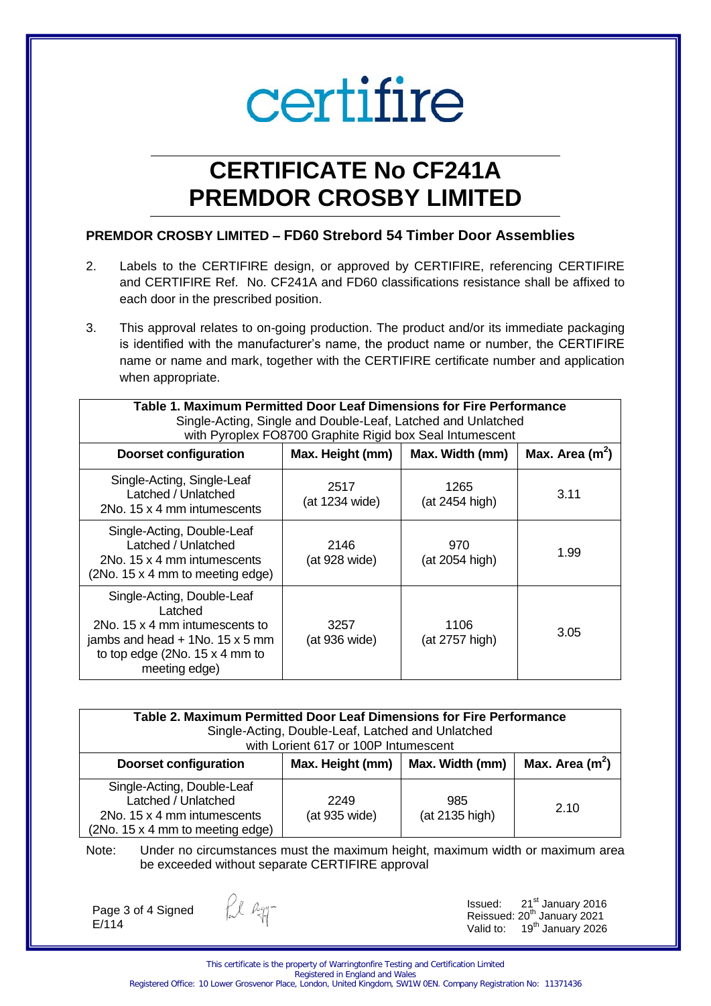# **CERTIFICATE No CF241A PREMDOR CROSBY LIMITED**

# **PREMDOR CROSBY LIMITED – FD60 Strebord 54 Timber Door Assemblies**

- 2. Labels to the CERTIFIRE design, or approved by CERTIFIRE, referencing CERTIFIRE and CERTIFIRE Ref. No. CF241A and FD60 classifications resistance shall be affixed to each door in the prescribed position.
- 3. This approval relates to on-going production. The product and/or its immediate packaging is identified with the manufacturer's name, the product name or number, the CERTIFIRE name or name and mark, together with the CERTIFIRE certificate number and application when appropriate.

| Table 1. Maximum Permitted Door Leaf Dimensions for Fire Performance<br>Single-Acting, Single and Double-Leaf, Latched and Unlatched<br>with Pyroplex FO8700 Graphite Rigid box Seal Intumescent |                        |                                     |      |
|--------------------------------------------------------------------------------------------------------------------------------------------------------------------------------------------------|------------------------|-------------------------------------|------|
| <b>Doorset configuration</b>                                                                                                                                                                     | Max. Height (mm)       | Max. Area $(m2)$<br>Max. Width (mm) |      |
| Single-Acting, Single-Leaf<br>Latched / Unlatched<br>2No. 15 x 4 mm intumescents                                                                                                                 | 2517<br>(at 1234 wide) | 1265<br>(at 2454 high)              | 3.11 |
| Single-Acting, Double-Leaf<br>Latched / Unlatched<br>2No. 15 x 4 mm intumescents<br>(2No. 15 x 4 mm to meeting edge)                                                                             | 2146<br>(at 928 wide)  | 970<br>(at 2054 high)               | 1.99 |
| Single-Acting, Double-Leaf<br>Latched<br>2No. 15 x 4 mm intumescents to<br>jambs and head $+$ 1No. 15 x 5 mm<br>to top edge $(2No. 15 x 4 mm to$<br>meeting edge)                                | 3257<br>(at 936 wide)  | 1106<br>(at 2757 high)              | 3.05 |

| Table 2. Maximum Permitted Door Leaf Dimensions for Fire Performance<br>Single-Acting, Double-Leaf, Latched and Unlatched<br>with Lorient 617 or 100P Intumescent |                       |                       |      |
|-------------------------------------------------------------------------------------------------------------------------------------------------------------------|-----------------------|-----------------------|------|
| Max. Area $(m^2)$<br>Max. Width (mm)<br><b>Doorset configuration</b><br>Max. Height (mm)                                                                          |                       |                       |      |
| Single-Acting, Double-Leaf<br>Latched / Unlatched<br>2No. 15 x 4 mm intumescents<br>(2No. 15 x 4 mm to meeting edge)                                              | 2249<br>(at 935 wide) | 985<br>(at 2135 high) | 2.10 |

Note: Under no circumstances must the maximum height, maximum width or maximum area be exceeded without separate CERTIFIRE approval

Page 3 of 4 Signed E/114

fil agg-

Issued: 21<sup>st</sup> January 2016 Reissued:  $20<sup>th</sup>$  January 2021 Valid to: 19<sup>th</sup> January 2026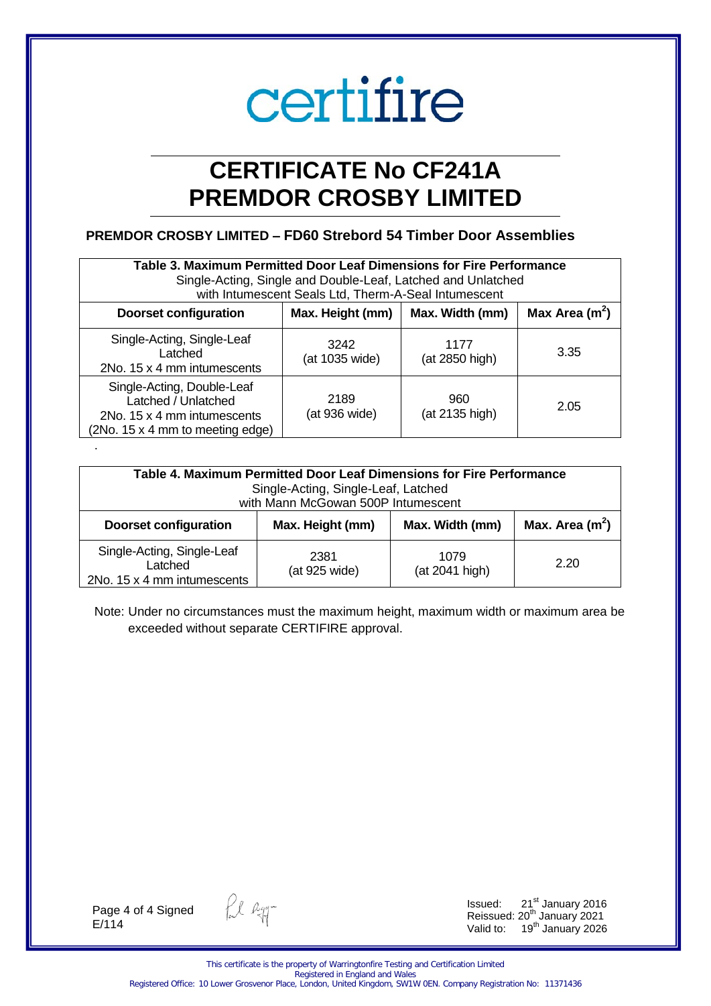# **CERTIFICATE No CF241A PREMDOR CROSBY LIMITED**

## **PREMDOR CROSBY LIMITED – FD60 Strebord 54 Timber Door Assemblies**

| Table 3. Maximum Permitted Door Leaf Dimensions for Fire Performance<br>Single-Acting, Single and Double-Leaf, Latched and Unlatched<br>with Intumescent Seals Ltd, Therm-A-Seal Intumescent |                        |                        |      |
|----------------------------------------------------------------------------------------------------------------------------------------------------------------------------------------------|------------------------|------------------------|------|
| Max Area $(m^2)$<br>Max. Width (mm)<br>Max. Height (mm)<br><b>Doorset configuration</b>                                                                                                      |                        |                        |      |
| Single-Acting, Single-Leaf<br>Latched<br>2No. 15 x 4 mm intumescents                                                                                                                         | 3242<br>(at 1035 wide) | 1177<br>(at 2850 high) | 3.35 |
| Single-Acting, Double-Leaf<br>Latched / Unlatched<br>2No. 15 x 4 mm intumescents<br>(2No. 15 x 4 mm to meeting edge)                                                                         | 2189<br>(at 936 wide)  | 960<br>(at 2135 high)  | 2.05 |

| Table 4. Maximum Permitted Door Leaf Dimensions for Fire Performance<br>Single-Acting, Single-Leaf, Latched<br>with Mann McGowan 500P Intumescent |                       |                        |                   |
|---------------------------------------------------------------------------------------------------------------------------------------------------|-----------------------|------------------------|-------------------|
| <b>Doorset configuration</b>                                                                                                                      | Max. Height (mm)      | Max. Width (mm)        | Max. Area $(m^2)$ |
| Single-Acting, Single-Leaf<br>Latched<br>2No. 15 x 4 mm intumescents                                                                              | 2381<br>(at 925 wide) | 1079<br>(at 2041 high) | 2.20              |

Note: Under no circumstances must the maximum height, maximum width or maximum area be exceeded without separate CERTIFIRE approval.

Page 4 of 4 Signed E/114

.

fil egg-

Issued:  $21<sup>st</sup>$  January 2016 Reissued: 20<sup>th</sup> January 2021 Valid to:  $19<sup>th</sup>$  January 2026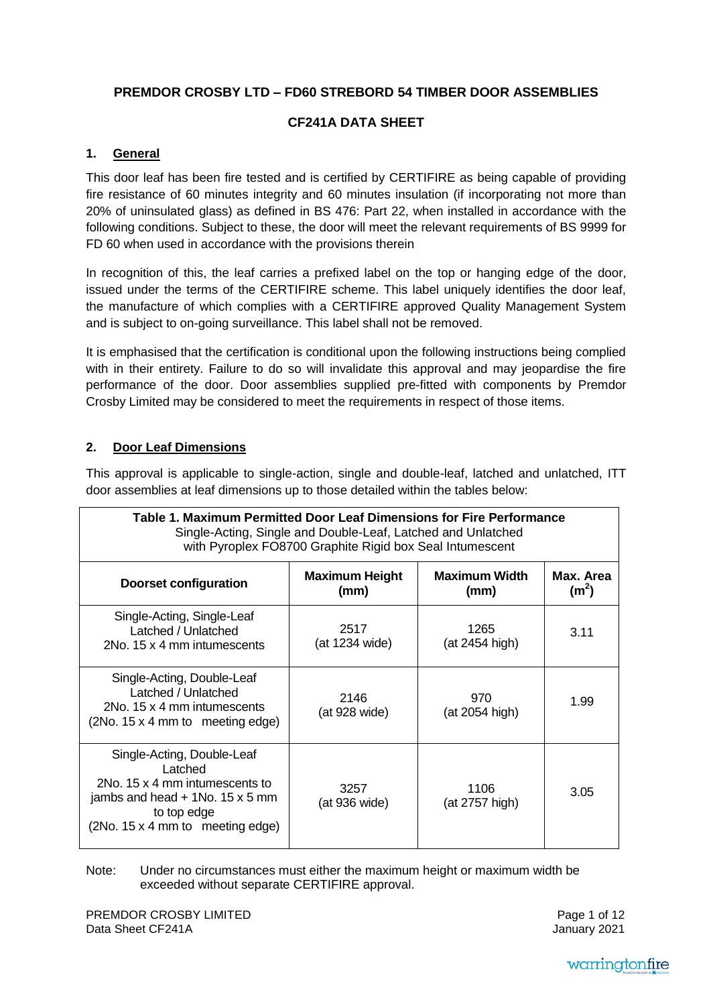# **PREMDOR CROSBY LTD – FD60 STREBORD 54 TIMBER DOOR ASSEMBLIES**

## **CF241A DATA SHEET**

## **1. General**

This door leaf has been fire tested and is certified by CERTIFIRE as being capable of providing fire resistance of 60 minutes integrity and 60 minutes insulation (if incorporating not more than 20% of uninsulated glass) as defined in BS 476: Part 22, when installed in accordance with the following conditions. Subject to these, the door will meet the relevant requirements of BS 9999 for FD 60 when used in accordance with the provisions therein

In recognition of this, the leaf carries a prefixed label on the top or hanging edge of the door, issued under the terms of the CERTIFIRE scheme. This label uniquely identifies the door leaf, the manufacture of which complies with a CERTIFIRE approved Quality Management System and is subject to on-going surveillance. This label shall not be removed.

It is emphasised that the certification is conditional upon the following instructions being complied with in their entirety. Failure to do so will invalidate this approval and may jeopardise the fire performance of the door. Door assemblies supplied pre-fitted with components by Premdor Crosby Limited may be considered to meet the requirements in respect of those items.

### **2. Door Leaf Dimensions**

This approval is applicable to single-action, single and double-leaf, latched and unlatched, ITT door assemblies at leaf dimensions up to those detailed within the tables below:

| Table 1. Maximum Permitted Door Leaf Dimensions for Fire Performance<br>Single-Acting, Single and Double-Leaf, Latched and Unlatched<br>with Pyroplex FO8700 Graphite Rigid box Seal Intumescent |                               |                              |                                |
|--------------------------------------------------------------------------------------------------------------------------------------------------------------------------------------------------|-------------------------------|------------------------------|--------------------------------|
| <b>Doorset configuration</b>                                                                                                                                                                     | <b>Maximum Height</b><br>(mm) | <b>Maximum Width</b><br>(mm) | Max. Area<br>(m <sup>2</sup> ) |
| Single-Acting, Single-Leaf<br>Latched / Unlatched<br>2No. 15 x 4 mm intumescents                                                                                                                 | 2517<br>(at 1234 wide)        | 1265<br>(at 2454 high)       | 3.11                           |
| Single-Acting, Double-Leaf<br>Latched / Unlatched<br>2No. 15 x 4 mm intumescents<br>$(2No. 15 \times 4 \text{ mm to } \text{ meeting edge})$                                                     | 2146<br>(at 928 wide)         | 970<br>(at 2054 high)        | 1.99                           |
| Single-Acting, Double-Leaf<br>Latched<br>2No. 15 x 4 mm intumescents to<br>jambs and head $+$ 1No. 15 x 5 mm<br>to top edge<br>(2No. 15 x 4 mm to meeting edge)                                  | 3257<br>(at 936 wide)         | 1106<br>(at 2757 high)       | 3.05                           |

Note: Under no circumstances must either the maximum height or maximum width be exceeded without separate CERTIFIRE approval.

PREMDOR CROSBY LIMITED Data Sheet CF241A

Page 1 of 12 January 2021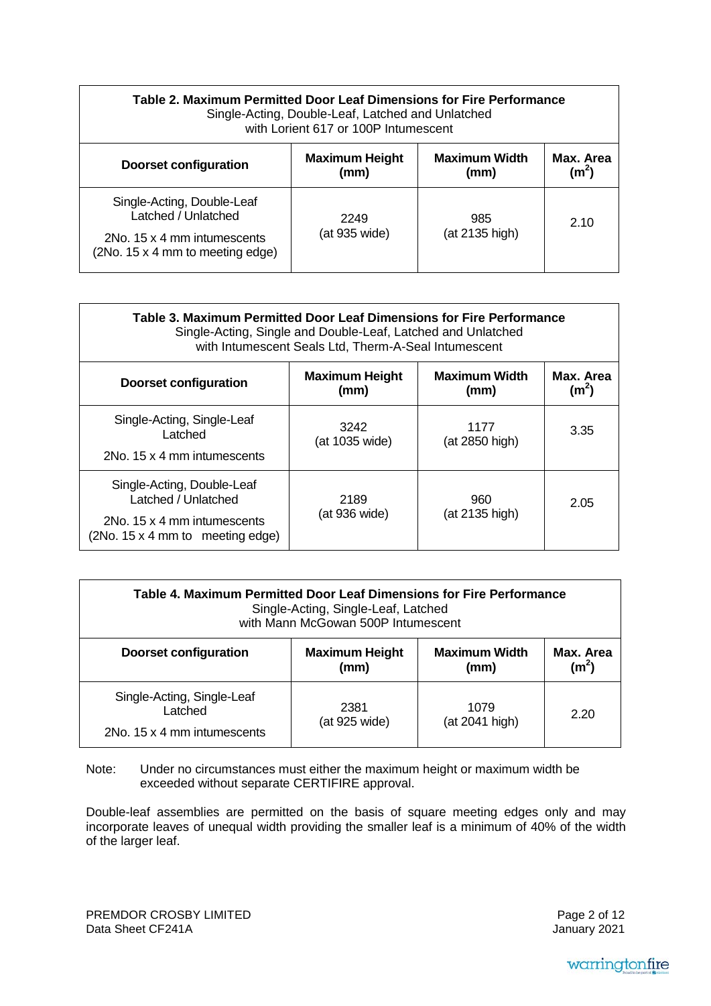| Table 2. Maximum Permitted Door Leaf Dimensions for Fire Performance<br>Single-Acting, Double-Leaf, Latched and Unlatched<br>with Lorient 617 or 100P Intumescent |                               |                              |                               |
|-------------------------------------------------------------------------------------------------------------------------------------------------------------------|-------------------------------|------------------------------|-------------------------------|
| <b>Doorset configuration</b>                                                                                                                                      | <b>Maximum Height</b><br>(mm) | <b>Maximum Width</b><br>(mm) | Max. Area<br>$(\mathsf{m}^2)$ |
| Single-Acting, Double-Leaf<br>Latched / Unlatched<br>2No. 15 x 4 mm intumescents<br>(2No. 15 x 4 mm to meeting edge)                                              | 2249<br>(at 935 wide)         | 985<br>(at 2135 high)        | -2.10                         |

| Table 3. Maximum Permitted Door Leaf Dimensions for Fire Performance<br>Single-Acting, Single and Double-Leaf, Latched and Unlatched<br>with Intumescent Seals Ltd, Therm-A-Seal Intumescent |                               |                              |                                |
|----------------------------------------------------------------------------------------------------------------------------------------------------------------------------------------------|-------------------------------|------------------------------|--------------------------------|
| <b>Doorset configuration</b>                                                                                                                                                                 | <b>Maximum Height</b><br>(mm) | <b>Maximum Width</b><br>(mm) | Max. Area<br>(m <sup>2</sup> ) |
| Single-Acting, Single-Leaf<br>Latched<br>2No. 15 x 4 mm intumescents                                                                                                                         | 3242<br>(at 1035 wide)        | 1177<br>(at 2850 high)       | 3.35                           |
| Single-Acting, Double-Leaf<br>Latched / Unlatched<br>2No. 15 x 4 mm intumescents<br>(2No. 15 x 4 mm to meeting edge)                                                                         | 2189<br>(at 936 wide)         | 960<br>(at 2135 high)        | 2.05                           |

| Table 4. Maximum Permitted Door Leaf Dimensions for Fire Performance<br>Single-Acting, Single-Leaf, Latched<br>with Mann McGowan 500P Intumescent |                               |                              |                                |
|---------------------------------------------------------------------------------------------------------------------------------------------------|-------------------------------|------------------------------|--------------------------------|
| <b>Doorset configuration</b>                                                                                                                      | <b>Maximum Height</b><br>(mm) | <b>Maximum Width</b><br>(mm) | Max. Area<br>(m <sup>2</sup> ) |
| Single-Acting, Single-Leaf<br>Latched<br>2No. 15 x 4 mm intumescents                                                                              | 2381<br>(at 925 wide)         | 1079<br>(at 2041 high)       | 2.20                           |

Note: Under no circumstances must either the maximum height or maximum width be exceeded without separate CERTIFIRE approval.

Double-leaf assemblies are permitted on the basis of square meeting edges only and may incorporate leaves of unequal width providing the smaller leaf is a minimum of 40% of the width of the larger leaf.

PREMDOR CROSBY LIMITED Data Sheet CF241A

Page 2 of 12 January 2021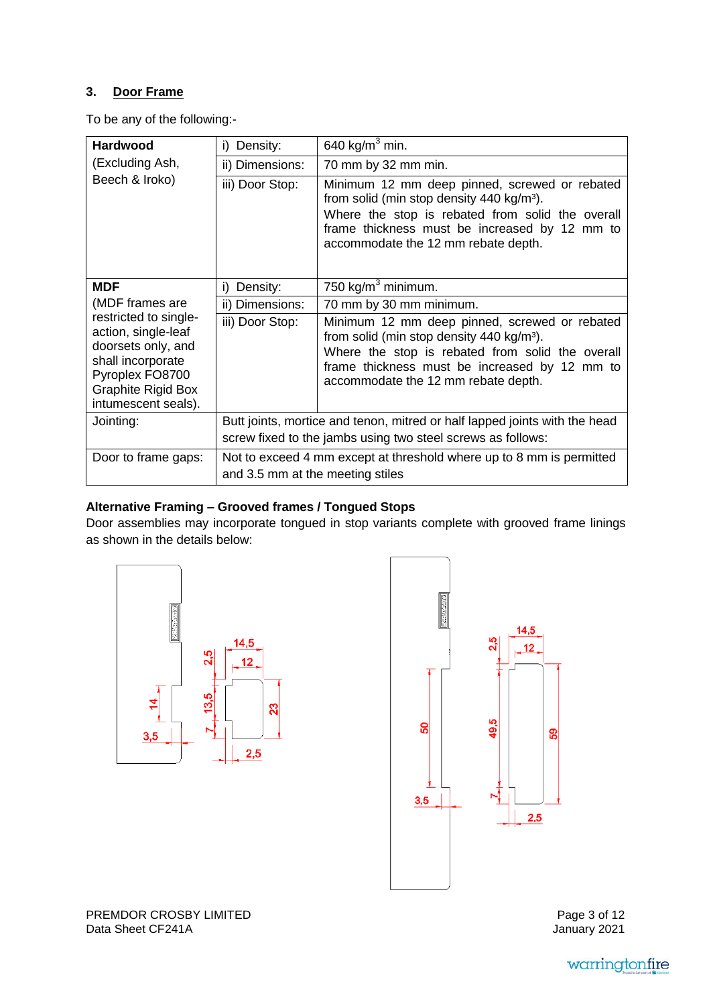# **3. Door Frame**

To be any of the following:-

| <b>Hardwood</b>                                                                                            | Density:<br>i)                                                                                           | 640 kg/m <sup>3</sup> min.                                                                                                                                                                                                                         |
|------------------------------------------------------------------------------------------------------------|----------------------------------------------------------------------------------------------------------|----------------------------------------------------------------------------------------------------------------------------------------------------------------------------------------------------------------------------------------------------|
| (Excluding Ash,                                                                                            | ii) Dimensions:                                                                                          | 70 mm by 32 mm min.                                                                                                                                                                                                                                |
| Beech & Iroko)                                                                                             | iii) Door Stop:                                                                                          | Minimum 12 mm deep pinned, screwed or rebated<br>from solid (min stop density 440 kg/m <sup>3</sup> ).<br>Where the stop is rebated from solid the overall<br>frame thickness must be increased by 12 mm to<br>accommodate the 12 mm rebate depth. |
| <b>MDF</b>                                                                                                 | Density:<br>i)                                                                                           | 750 kg/m <sup>3</sup> minimum.                                                                                                                                                                                                                     |
| (MDF frames are                                                                                            | ii) Dimensions:                                                                                          | 70 mm by 30 mm minimum.                                                                                                                                                                                                                            |
| restricted to single-<br>action, single-leaf<br>doorsets only, and<br>shall incorporate<br>Pyroplex FO8700 | iii) Door Stop:                                                                                          | Minimum 12 mm deep pinned, screwed or rebated<br>from solid (min stop density 440 kg/m <sup>3</sup> ).<br>Where the stop is rebated from solid the overall<br>frame thickness must be increased by 12 mm to                                        |
| <b>Graphite Rigid Box</b><br>intumescent seals).                                                           |                                                                                                          | accommodate the 12 mm rebate depth.                                                                                                                                                                                                                |
| Jointing:                                                                                                  |                                                                                                          | Butt joints, mortice and tenon, mitred or half lapped joints with the head                                                                                                                                                                         |
|                                                                                                            |                                                                                                          | screw fixed to the jambs using two steel screws as follows:                                                                                                                                                                                        |
| Door to frame gaps:                                                                                        | Not to exceed 4 mm except at threshold where up to 8 mm is permitted<br>and 3.5 mm at the meeting stiles |                                                                                                                                                                                                                                                    |

## **Alternative Framing – Grooved frames / Tongued Stops**

Door assemblies may incorporate tongued in stop variants complete with grooved frame linings as shown in the details below:





PREMDOR CROSBY LIMITED Data Sheet CF241A

Page 3 of 12 January 2021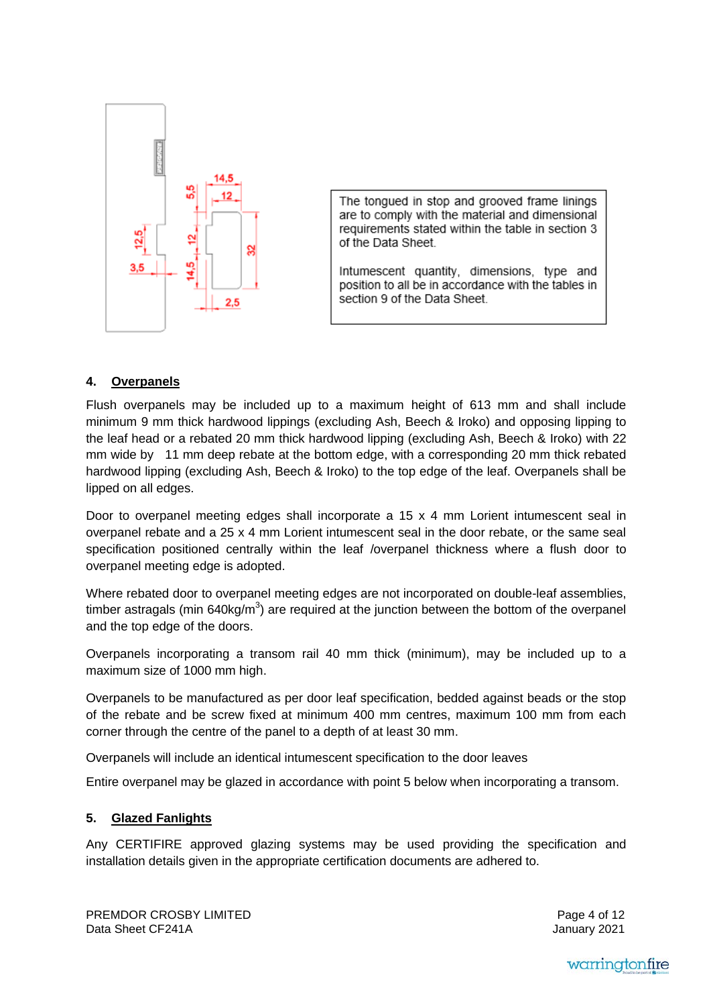

The tongued in stop and grooved frame linings are to comply with the material and dimensional requirements stated within the table in section 3 of the Data Sheet.

Intumescent quantity, dimensions, type and position to all be in accordance with the tables in section 9 of the Data Sheet.

#### **4. Overpanels**

Flush overpanels may be included up to a maximum height of 613 mm and shall include minimum 9 mm thick hardwood lippings (excluding Ash, Beech & Iroko) and opposing lipping to the leaf head or a rebated 20 mm thick hardwood lipping (excluding Ash, Beech & Iroko) with 22 mm wide by 11 mm deep rebate at the bottom edge, with a corresponding 20 mm thick rebated hardwood lipping (excluding Ash, Beech & Iroko) to the top edge of the leaf. Overpanels shall be lipped on all edges.

Door to overpanel meeting edges shall incorporate a 15 x 4 mm Lorient intumescent seal in overpanel rebate and a 25 x 4 mm Lorient intumescent seal in the door rebate, or the same seal specification positioned centrally within the leaf /overpanel thickness where a flush door to overpanel meeting edge is adopted.

Where rebated door to overpanel meeting edges are not incorporated on double-leaf assemblies, timber astragals (min 640kg/m<sup>3</sup>) are required at the junction between the bottom of the overpanel and the top edge of the doors.

Overpanels incorporating a transom rail 40 mm thick (minimum), may be included up to a maximum size of 1000 mm high.

Overpanels to be manufactured as per door leaf specification, bedded against beads or the stop of the rebate and be screw fixed at minimum 400 mm centres, maximum 100 mm from each corner through the centre of the panel to a depth of at least 30 mm.

Overpanels will include an identical intumescent specification to the door leaves

Entire overpanel may be glazed in accordance with point 5 below when incorporating a transom.

### **5. Glazed Fanlights**

Any CERTIFIRE approved glazing systems may be used providing the specification and installation details given in the appropriate certification documents are adhered to.

Page 4 of 12 January 2021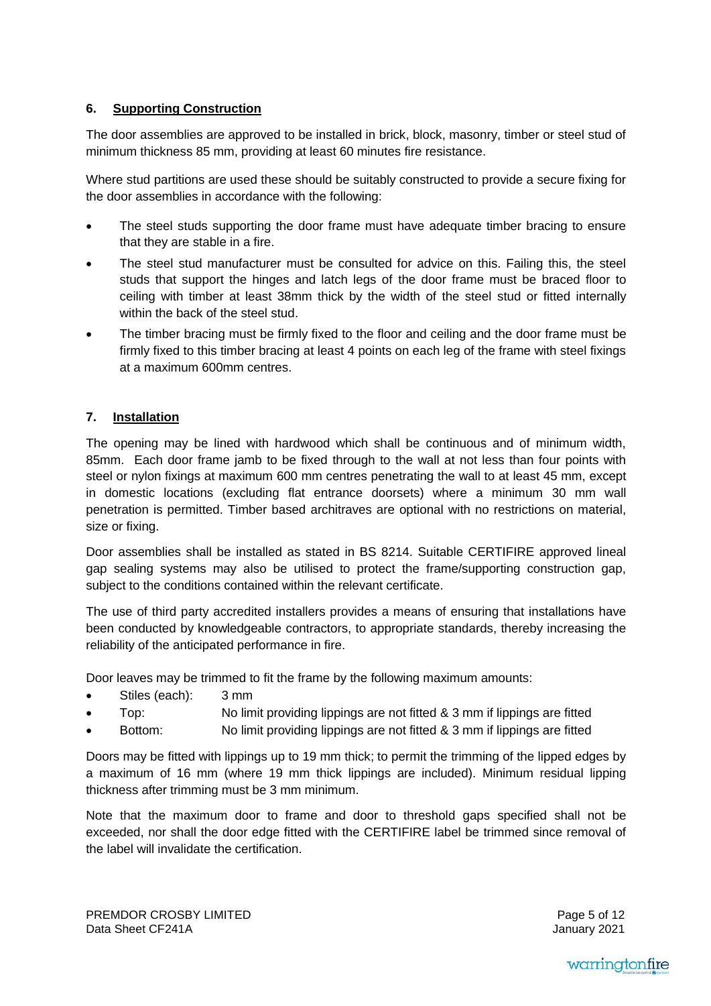### **6. Supporting Construction**

The door assemblies are approved to be installed in brick, block, masonry, timber or steel stud of minimum thickness 85 mm, providing at least 60 minutes fire resistance.

Where stud partitions are used these should be suitably constructed to provide a secure fixing for the door assemblies in accordance with the following:

- The steel studs supporting the door frame must have adequate timber bracing to ensure that they are stable in a fire.
- The steel stud manufacturer must be consulted for advice on this. Failing this, the steel studs that support the hinges and latch legs of the door frame must be braced floor to ceiling with timber at least 38mm thick by the width of the steel stud or fitted internally within the back of the steel stud.
- The timber bracing must be firmly fixed to the floor and ceiling and the door frame must be firmly fixed to this timber bracing at least 4 points on each leg of the frame with steel fixings at a maximum 600mm centres.

#### **7. Installation**

The opening may be lined with hardwood which shall be continuous and of minimum width, 85mm. Each door frame jamb to be fixed through to the wall at not less than four points with steel or nylon fixings at maximum 600 mm centres penetrating the wall to at least 45 mm, except in domestic locations (excluding flat entrance doorsets) where a minimum 30 mm wall penetration is permitted. Timber based architraves are optional with no restrictions on material, size or fixing.

Door assemblies shall be installed as stated in BS 8214. Suitable CERTIFIRE approved lineal gap sealing systems may also be utilised to protect the frame/supporting construction gap, subject to the conditions contained within the relevant certificate.

The use of third party accredited installers provides a means of ensuring that installations have been conducted by knowledgeable contractors, to appropriate standards, thereby increasing the reliability of the anticipated performance in fire.

Door leaves may be trimmed to fit the frame by the following maximum amounts:

- Stiles (each): 3 mm
- Top: No limit providing lippings are not fitted & 3 mm if lippings are fitted
- Bottom: No limit providing lippings are not fitted & 3 mm if lippings are fitted

Doors may be fitted with lippings up to 19 mm thick; to permit the trimming of the lipped edges by a maximum of 16 mm (where 19 mm thick lippings are included). Minimum residual lipping thickness after trimming must be 3 mm minimum.

Note that the maximum door to frame and door to threshold gaps specified shall not be exceeded, nor shall the door edge fitted with the CERTIFIRE label be trimmed since removal of the label will invalidate the certification.

Page 5 of 12 January 2021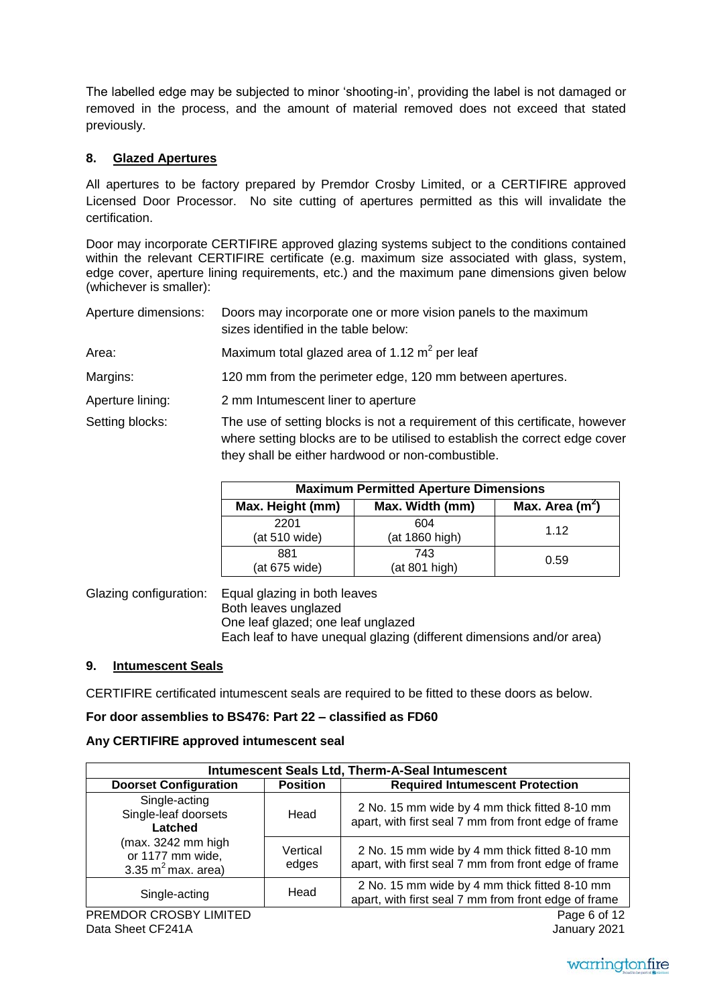The labelled edge may be subjected to minor 'shooting-in', providing the label is not damaged or removed in the process, and the amount of material removed does not exceed that stated previously.

## **8. Glazed Apertures**

All apertures to be factory prepared by Premdor Crosby Limited, or a CERTIFIRE approved Licensed Door Processor. No site cutting of apertures permitted as this will invalidate the certification.

Door may incorporate CERTIFIRE approved glazing systems subject to the conditions contained within the relevant CERTIFIRE certificate (e.g. maximum size associated with glass, system, edge cover, aperture lining requirements, etc.) and the maximum pane dimensions given below (whichever is smaller):

| Aperture dimensions: | Doors may incorporate one or more vision panels to the maximum<br>sizes identified in the table below:                                                                                                          |
|----------------------|-----------------------------------------------------------------------------------------------------------------------------------------------------------------------------------------------------------------|
| Area:                | Maximum total glazed area of 1.12 $m^2$ per leaf                                                                                                                                                                |
| Margins:             | 120 mm from the perimeter edge, 120 mm between apertures.                                                                                                                                                       |
| Aperture lining:     | 2 mm Intumescent liner to aperture                                                                                                                                                                              |
| Setting blocks:      | The use of setting blocks is not a requirement of this certificate, however<br>where setting blocks are to be utilised to establish the correct edge cover<br>they shall be either hardwood or non-combustible. |

| <b>Maximum Permitted Aperture Dimensions</b> |                       |                   |
|----------------------------------------------|-----------------------|-------------------|
| Max. Height (mm)                             | Max. Width (mm)       | Max. Area $(m^2)$ |
| 2201<br>(at 510 wide)                        | 604<br>(at 1860 high) | 1.12              |
| 881<br>(at 675 wide)                         | 743<br>(at 801 high)  | 0.59              |

Glazing configuration: Equal glazing in both leaves Both leaves unglazed One leaf glazed; one leaf unglazed Each leaf to have unequal glazing (different dimensions and/or area)

### **9. Intumescent Seals**

CERTIFIRE certificated intumescent seals are required to be fitted to these doors as below.

### **For door assemblies to BS476: Part 22 – classified as FD60**

### **Any CERTIFIRE approved intumescent seal**

| Intumescent Seals Ltd, Therm-A-Seal Intumescent                    |                   |                                                                                                       |
|--------------------------------------------------------------------|-------------------|-------------------------------------------------------------------------------------------------------|
| <b>Doorset Configuration</b>                                       | <b>Position</b>   | <b>Required Intumescent Protection</b>                                                                |
| Single-acting<br>Single-leaf doorsets<br>Latched                   | Head              | 2 No. 15 mm wide by 4 mm thick fitted 8-10 mm<br>apart, with first seal 7 mm from front edge of frame |
| ( $max. 3242$ mm high<br>or 1177 mm wide,<br>3.35 $m^2$ max. area) | Vertical<br>edges | 2 No. 15 mm wide by 4 mm thick fitted 8-10 mm<br>apart, with first seal 7 mm from front edge of frame |
| Single-acting                                                      | Head              | 2 No. 15 mm wide by 4 mm thick fitted 8-10 mm<br>apart, with first seal 7 mm from front edge of frame |
| PREMDOR CROSBY LIMITED                                             |                   | Page 6 of 12                                                                                          |

January 2021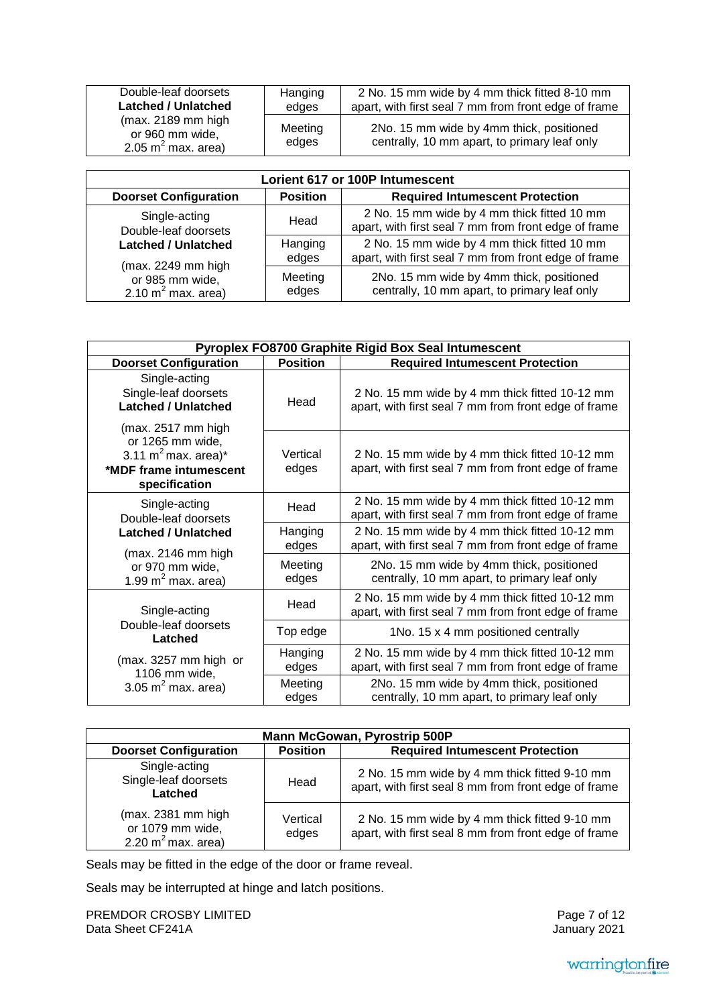| Double-leaf doorsets                                                      | Hanging          | 2 No. 15 mm wide by 4 mm thick fitted 8-10 mm                                            |
|---------------------------------------------------------------------------|------------------|------------------------------------------------------------------------------------------|
| <b>Latched / Unlatched</b>                                                | edges            | apart, with first seal 7 mm from front edge of frame                                     |
| $(max. 2189$ mm high<br>or 960 mm wide,<br>2.05 m <sup>2</sup> max. area) | Meeting<br>edges | 2No. 15 mm wide by 4mm thick, positioned<br>centrally, 10 mm apart, to primary leaf only |

| Lorient 617 or 100P Intumescent                                                                                                       |                  |                                                                                                     |  |
|---------------------------------------------------------------------------------------------------------------------------------------|------------------|-----------------------------------------------------------------------------------------------------|--|
| <b>Doorset Configuration</b>                                                                                                          | <b>Position</b>  | <b>Required Intumescent Protection</b>                                                              |  |
| Single-acting<br>Double-leaf doorsets<br><b>Latched / Unlatched</b><br>(max. 2249 mm high<br>or 985 mm wide,<br>2.10 $m^2$ max. area) | Head             | 2 No. 15 mm wide by 4 mm thick fitted 10 mm<br>apart, with first seal 7 mm from front edge of frame |  |
|                                                                                                                                       | Hanging<br>edges | 2 No. 15 mm wide by 4 mm thick fitted 10 mm<br>apart, with first seal 7 mm from front edge of frame |  |
|                                                                                                                                       | Meeting<br>edges | 2No. 15 mm wide by 4mm thick, positioned<br>centrally, 10 mm apart, to primary leaf only            |  |

| Pyroplex FO8700 Graphite Rigid Box Seal Intumescent                                                                  |                   |                                                                                                        |  |
|----------------------------------------------------------------------------------------------------------------------|-------------------|--------------------------------------------------------------------------------------------------------|--|
| <b>Doorset Configuration</b>                                                                                         | <b>Position</b>   | <b>Required Intumescent Protection</b>                                                                 |  |
| Single-acting<br>Single-leaf doorsets<br><b>Latched / Unlatched</b>                                                  | Head              | 2 No. 15 mm wide by 4 mm thick fitted 10-12 mm<br>apart, with first seal 7 mm from front edge of frame |  |
| (max. 2517 mm high<br>or 1265 mm wide,<br>3.11 m <sup>2</sup> max. area)*<br>*MDF frame intumescent<br>specification | Vertical<br>edges | 2 No. 15 mm wide by 4 mm thick fitted 10-12 mm<br>apart, with first seal 7 mm from front edge of frame |  |
| Single-acting<br>Double-leaf doorsets                                                                                | Head              | 2 No. 15 mm wide by 4 mm thick fitted 10-12 mm<br>apart, with first seal 7 mm from front edge of frame |  |
| <b>Latched / Unlatched</b><br>(max. 2146 mm high<br>or 970 mm wide,<br>1.99 $m^2$ max. area)                         | Hanging<br>edges  | 2 No. 15 mm wide by 4 mm thick fitted 10-12 mm<br>apart, with first seal 7 mm from front edge of frame |  |
|                                                                                                                      | Meeting<br>edges  | 2No. 15 mm wide by 4mm thick, positioned<br>centrally, 10 mm apart, to primary leaf only               |  |
| Single-acting<br>Double-leaf doorsets<br>Latched                                                                     | Head              | 2 No. 15 mm wide by 4 mm thick fitted 10-12 mm<br>apart, with first seal 7 mm from front edge of frame |  |
|                                                                                                                      | Top edge          | 1No. 15 x 4 mm positioned centrally                                                                    |  |
| (max. 3257 mm high or<br>1106 mm wide,<br>3.05 $m^2$ max. area)                                                      | Hanging<br>edges  | 2 No. 15 mm wide by 4 mm thick fitted 10-12 mm<br>apart, with first seal 7 mm from front edge of frame |  |
|                                                                                                                      | Meeting<br>edges  | 2No. 15 mm wide by 4mm thick, positioned<br>centrally, 10 mm apart, to primary leaf only               |  |

| <b>Mann McGowan, Pyrostrip 500P</b>                             |                   |                                                                                                       |  |
|-----------------------------------------------------------------|-------------------|-------------------------------------------------------------------------------------------------------|--|
| <b>Doorset Configuration</b>                                    | <b>Position</b>   | <b>Required Intumescent Protection</b>                                                                |  |
| Single-acting<br>Single-leaf doorsets<br>Latched                | Head              | 2 No. 15 mm wide by 4 mm thick fitted 9-10 mm<br>apart, with first seal 8 mm from front edge of frame |  |
| (max. 2381 mm high<br>or 1079 mm wide,<br>2.20 $m^2$ max. area) | Vertical<br>edges | 2 No. 15 mm wide by 4 mm thick fitted 9-10 mm<br>apart, with first seal 8 mm from front edge of frame |  |

Seals may be fitted in the edge of the door or frame reveal.

Seals may be interrupted at hinge and latch positions.

PREMDOR CROSBY LIMITED Data Sheet CF241A

Page 7 of 12 January 2021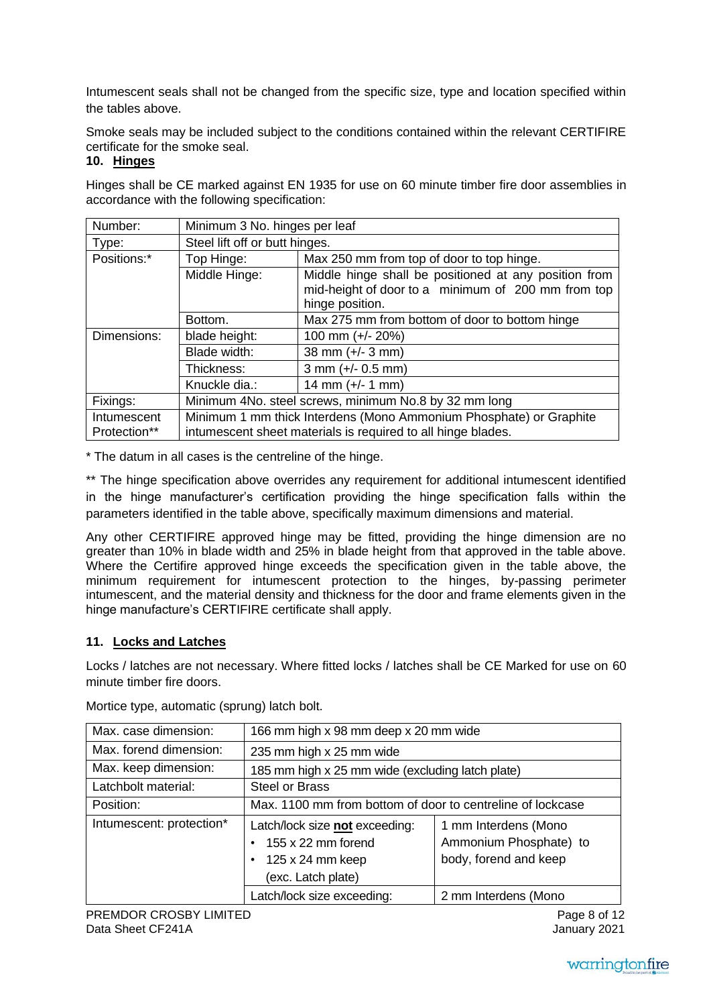Intumescent seals shall not be changed from the specific size, type and location specified within the tables above.

Smoke seals may be included subject to the conditions contained within the relevant CERTIFIRE certificate for the smoke seal.

## **10. Hinges**

Hinges shall be CE marked against EN 1935 for use on 60 minute timber fire door assemblies in accordance with the following specification:

| Number:      | Minimum 3 No. hinges per leaf                                      |                                                                                                                                |  |
|--------------|--------------------------------------------------------------------|--------------------------------------------------------------------------------------------------------------------------------|--|
| Type:        | Steel lift off or butt hinges.                                     |                                                                                                                                |  |
| Positions:*  | Top Hinge:                                                         | Max 250 mm from top of door to top hinge.                                                                                      |  |
|              | Middle Hinge:                                                      | Middle hinge shall be positioned at any position from<br>mid-height of door to a minimum of 200 mm from top<br>hinge position. |  |
|              | Bottom.                                                            | Max 275 mm from bottom of door to bottom hinge                                                                                 |  |
| Dimensions:  | blade height:                                                      | 100 mm (+/- 20%)                                                                                                               |  |
|              | Blade width:                                                       | 38 mm $(+/- 3$ mm)                                                                                                             |  |
|              | Thickness:                                                         | $3$ mm (+/- 0.5 mm)                                                                                                            |  |
|              | Knuckle dia.:                                                      | 14 mm $(+/- 1$ mm)                                                                                                             |  |
| Fixings:     | Minimum 4No. steel screws, minimum No.8 by 32 mm long              |                                                                                                                                |  |
| Intumescent  | Minimum 1 mm thick Interdens (Mono Ammonium Phosphate) or Graphite |                                                                                                                                |  |
| Protection** | intumescent sheet materials is required to all hinge blades.       |                                                                                                                                |  |

\* The datum in all cases is the centreline of the hinge.

\*\* The hinge specification above overrides any requirement for additional intumescent identified in the hinge manufacturer's certification providing the hinge specification falls within the parameters identified in the table above, specifically maximum dimensions and material.

Any other CERTIFIRE approved hinge may be fitted, providing the hinge dimension are no greater than 10% in blade width and 25% in blade height from that approved in the table above. Where the Certifire approved hinge exceeds the specification given in the table above, the minimum requirement for intumescent protection to the hinges, by-passing perimeter intumescent, and the material density and thickness for the door and frame elements given in the hinge manufacture's CERTIFIRE certificate shall apply.

# **11. Locks and Latches**

Locks / latches are not necessary. Where fitted locks / latches shall be CE Marked for use on 60 minute timber fire doors.

| Max. case dimension:     | 166 mm high x 98 mm deep x 20 mm wide                                                                 |                                                                         |  |
|--------------------------|-------------------------------------------------------------------------------------------------------|-------------------------------------------------------------------------|--|
| Max. forend dimension:   | 235 mm high x 25 mm wide                                                                              |                                                                         |  |
| Max. keep dimension:     | 185 mm high x 25 mm wide (excluding latch plate)                                                      |                                                                         |  |
| Latchbolt material:      | <b>Steel or Brass</b>                                                                                 |                                                                         |  |
| Position:                | Max. 1100 mm from bottom of door to centreline of lockcase                                            |                                                                         |  |
| Intumescent: protection* | Latch/lock size not exceeding:<br>155 x 22 mm forend<br>$125 \times 24$ mm keep<br>(exc. Latch plate) | 1 mm Interdens (Mono<br>Ammonium Phosphate) to<br>body, forend and keep |  |
|                          | Latch/lock size exceeding:                                                                            | 2 mm Interdens (Mono                                                    |  |

Mortice type, automatic (sprung) latch bolt.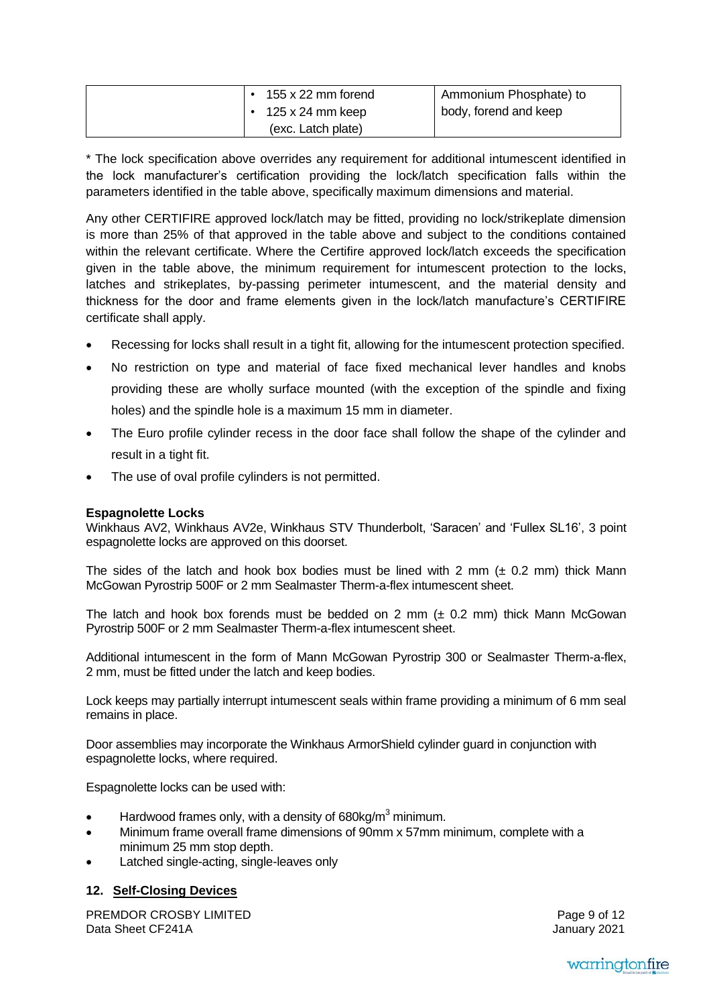|  | 155 x 22 mm forend | Ammonium Phosphate) to |
|--|--------------------|------------------------|
|  | 125 x 24 mm keep   | body, forend and keep  |
|  | (exc. Latch plate) |                        |

\* The lock specification above overrides any requirement for additional intumescent identified in the lock manufacturer's certification providing the lock/latch specification falls within the parameters identified in the table above, specifically maximum dimensions and material.

Any other CERTIFIRE approved lock/latch may be fitted, providing no lock/strikeplate dimension is more than 25% of that approved in the table above and subject to the conditions contained within the relevant certificate. Where the Certifire approved lock/latch exceeds the specification given in the table above, the minimum requirement for intumescent protection to the locks, latches and strikeplates, by-passing perimeter intumescent, and the material density and thickness for the door and frame elements given in the lock/latch manufacture's CERTIFIRE certificate shall apply.

- Recessing for locks shall result in a tight fit, allowing for the intumescent protection specified.
- No restriction on type and material of face fixed mechanical lever handles and knobs providing these are wholly surface mounted (with the exception of the spindle and fixing holes) and the spindle hole is a maximum 15 mm in diameter.
- The Euro profile cylinder recess in the door face shall follow the shape of the cylinder and result in a tight fit.
- The use of oval profile cylinders is not permitted.

### **Espagnolette Locks**

Winkhaus AV2, Winkhaus AV2e, Winkhaus STV Thunderbolt, 'Saracen' and 'Fullex SL16', 3 point espagnolette locks are approved on this doorset.

The sides of the latch and hook box bodies must be lined with 2 mm  $(± 0.2$  mm) thick Mann McGowan Pyrostrip 500F or 2 mm Sealmaster Therm-a-flex intumescent sheet.

The latch and hook box forends must be bedded on 2 mm  $(± 0.2$  mm) thick Mann McGowan Pyrostrip 500F or 2 mm Sealmaster Therm-a-flex intumescent sheet.

Additional intumescent in the form of Mann McGowan Pyrostrip 300 or Sealmaster Therm-a-flex, 2 mm, must be fitted under the latch and keep bodies.

Lock keeps may partially interrupt intumescent seals within frame providing a minimum of 6 mm seal remains in place.

Door assemblies may incorporate the Winkhaus ArmorShield cylinder guard in conjunction with espagnolette locks, where required.

Espagnolette locks can be used with:

- Hardwood frames only, with a density of 680kg/m<sup>3</sup> minimum.
- Minimum frame overall frame dimensions of 90mm x 57mm minimum, complete with a minimum 25 mm stop depth.
- Latched single-acting, single-leaves only

### **12. Self-Closing Devices**

PREMDOR CROSBY LIMITED Data Sheet CF241A

Page 9 of 12 January 2021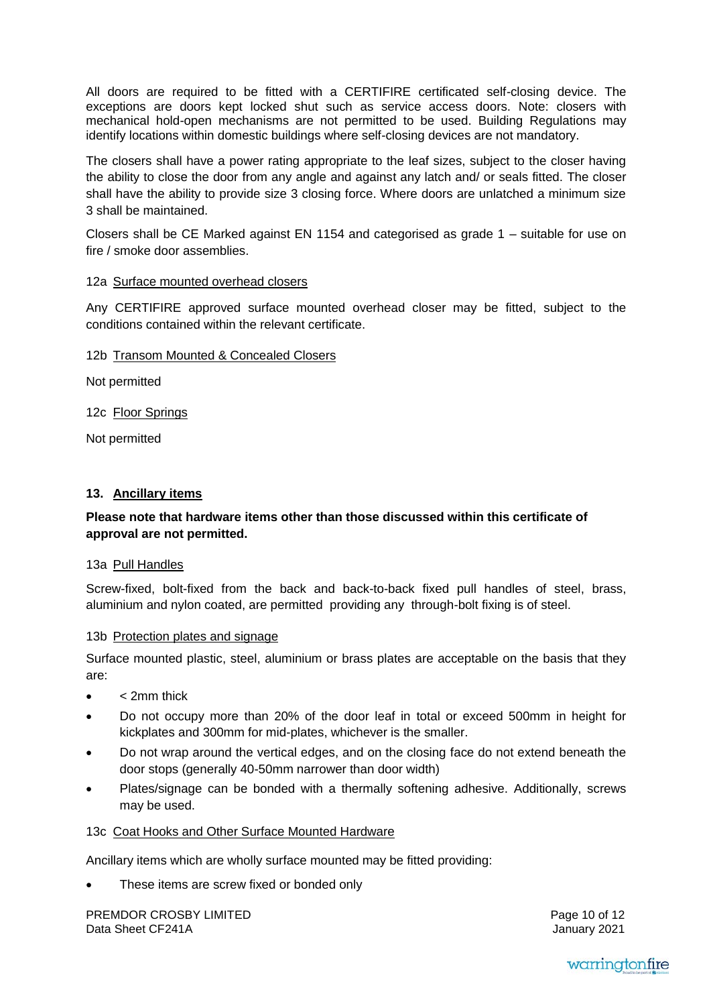All doors are required to be fitted with a CERTIFIRE certificated self-closing device. The exceptions are doors kept locked shut such as service access doors. Note: closers with mechanical hold-open mechanisms are not permitted to be used. Building Regulations may identify locations within domestic buildings where self-closing devices are not mandatory.

The closers shall have a power rating appropriate to the leaf sizes, subject to the closer having the ability to close the door from any angle and against any latch and/ or seals fitted. The closer shall have the ability to provide size 3 closing force. Where doors are unlatched a minimum size 3 shall be maintained.

Closers shall be CE Marked against EN 1154 and categorised as grade 1 – suitable for use on fire / smoke door assemblies.

#### 12a Surface mounted overhead closers

Any CERTIFIRE approved surface mounted overhead closer may be fitted, subject to the conditions contained within the relevant certificate.

12b Transom Mounted & Concealed Closers

Not permitted

12c Floor Springs

Not permitted

#### **13. Ancillary items**

### **Please note that hardware items other than those discussed within this certificate of approval are not permitted.**

#### 13a Pull Handles

Screw-fixed, bolt-fixed from the back and back-to-back fixed pull handles of steel, brass, aluminium and nylon coated, are permitted providing any through-bolt fixing is of steel.

#### 13b Protection plates and signage

Surface mounted plastic, steel, aluminium or brass plates are acceptable on the basis that they are:

- < 2mm thick
- Do not occupy more than 20% of the door leaf in total or exceed 500mm in height for kickplates and 300mm for mid-plates, whichever is the smaller.
- Do not wrap around the vertical edges, and on the closing face do not extend beneath the door stops (generally 40-50mm narrower than door width)
- Plates/signage can be bonded with a thermally softening adhesive. Additionally, screws may be used.

#### 13c Coat Hooks and Other Surface Mounted Hardware

Ancillary items which are wholly surface mounted may be fitted providing:

These items are screw fixed or bonded only

PREMDOR CROSBY LIMITED Data Sheet CF241A

Page 10 of 12 January 2021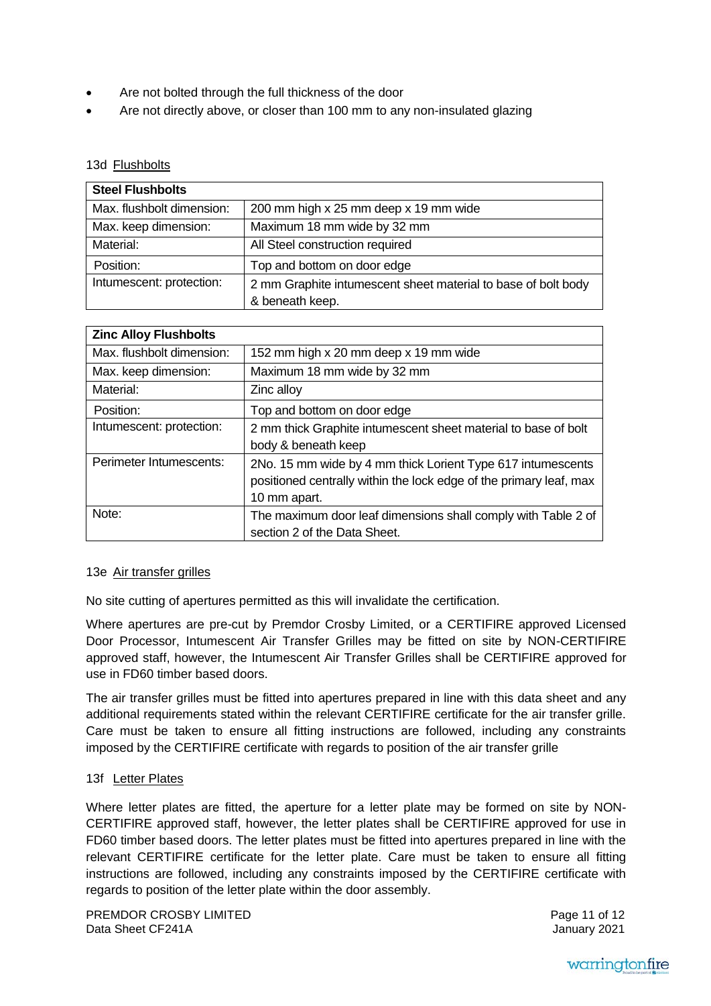- Are not bolted through the full thickness of the door
- Are not directly above, or closer than 100 mm to any non-insulated glazing

#### 13d Flushbolts

| <b>Steel Flushbolts</b>   |                                                               |
|---------------------------|---------------------------------------------------------------|
| Max. flushbolt dimension: | 200 mm high x 25 mm deep x 19 mm wide                         |
| Max. keep dimension:      | Maximum 18 mm wide by 32 mm                                   |
| Material:                 | All Steel construction required                               |
| Position:                 | Top and bottom on door edge                                   |
| Intumescent: protection:  | 2 mm Graphite intumescent sheet material to base of bolt body |
|                           | & beneath keep.                                               |

| <b>Zinc Alloy Flushbolts</b> |                                                                                                                                                   |
|------------------------------|---------------------------------------------------------------------------------------------------------------------------------------------------|
| Max. flushbolt dimension:    | 152 mm high x 20 mm deep x 19 mm wide                                                                                                             |
| Max. keep dimension:         | Maximum 18 mm wide by 32 mm                                                                                                                       |
| Material:                    | Zinc alloy                                                                                                                                        |
| Position:                    | Top and bottom on door edge                                                                                                                       |
| Intumescent: protection:     | 2 mm thick Graphite intumescent sheet material to base of bolt<br>body & beneath keep                                                             |
| Perimeter Intumescents:      |                                                                                                                                                   |
|                              | 2No. 15 mm wide by 4 mm thick Lorient Type 617 intumescents<br>positioned centrally within the lock edge of the primary leaf, max<br>10 mm apart. |
| Note:                        | The maximum door leaf dimensions shall comply with Table 2 of<br>section 2 of the Data Sheet.                                                     |

#### 13e Air transfer grilles

No site cutting of apertures permitted as this will invalidate the certification.

Where apertures are pre-cut by Premdor Crosby Limited, or a CERTIFIRE approved Licensed Door Processor, Intumescent Air Transfer Grilles may be fitted on site by NON-CERTIFIRE approved staff, however, the Intumescent Air Transfer Grilles shall be CERTIFIRE approved for use in FD60 timber based doors.

The air transfer grilles must be fitted into apertures prepared in line with this data sheet and any additional requirements stated within the relevant CERTIFIRE certificate for the air transfer grille. Care must be taken to ensure all fitting instructions are followed, including any constraints imposed by the CERTIFIRE certificate with regards to position of the air transfer grille

#### 13f Letter Plates

Where letter plates are fitted, the aperture for a letter plate may be formed on site by NON-CERTIFIRE approved staff, however, the letter plates shall be CERTIFIRE approved for use in FD60 timber based doors. The letter plates must be fitted into apertures prepared in line with the relevant CERTIFIRE certificate for the letter plate. Care must be taken to ensure all fitting instructions are followed, including any constraints imposed by the CERTIFIRE certificate with regards to position of the letter plate within the door assembly.

PREMDOR CROSBY LIMITED Data Sheet CF241A

Page 11 of 12 January 2021